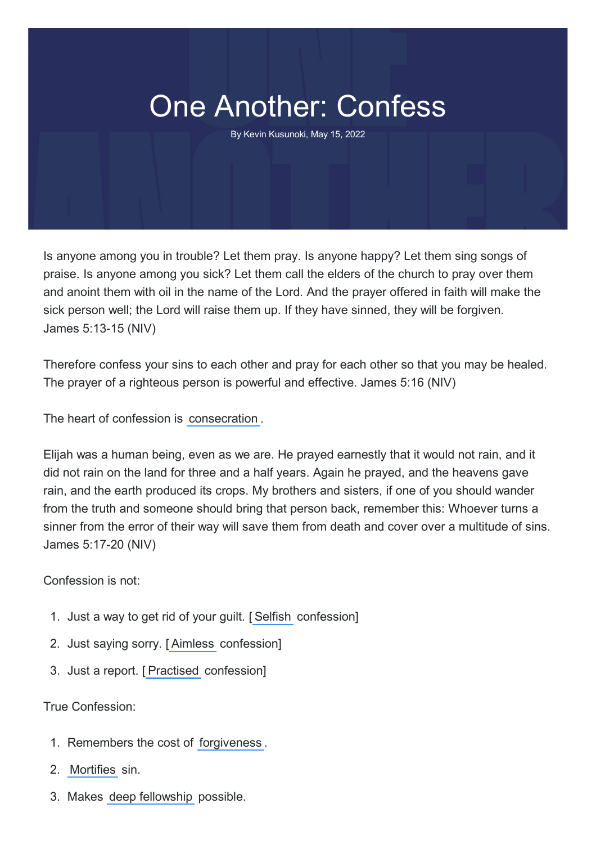## One Another: Confess

By Kevin Kusunoki, May 15, 2022

Is anyone among you in trouble? Let them pray. Is anyone happy? Let them sing songs of praise. Is anyone among you sick? Let them call the elders of the church to pray over them and anoint them with oil in the name of the Lord. And the prayer offered in faith will make the sick person well; the Lord will raise them up. If they have sinned, they will be forgiven. James 5:13-15 (NIV)

Therefore confess your sins to each other and pray for each other so that you may be healed. The prayer of a righteous person is powerful and effective. James 5:16 (NIV)

The heart of confession is consecration .

Elijah was a human being, even as we are. He prayed earnestly that it would not rain, and it did not rain on the land for three and a half years. Again he prayed, and the heavens gave rain, and the earth produced its crops. My brothers and sisters, if one of you should wander from the truth and someone should bring that person back, remember this: Whoever turns a sinner from the error of their way will save them from death and cover over a multitude of sins. James 5:17-20 (NIV)

Confession is not:

- 1. Just a way to get rid of your guilt. [ Selfish confession]
- 2. Just saying sorry. [ Aimless confession]
- 3. Just a report. [ Practised confession]

True Confession:

- 1. Remembers the cost of forgiveness .
- 2. Mortifies sin.
- 3. Makes deep fellowship possible.